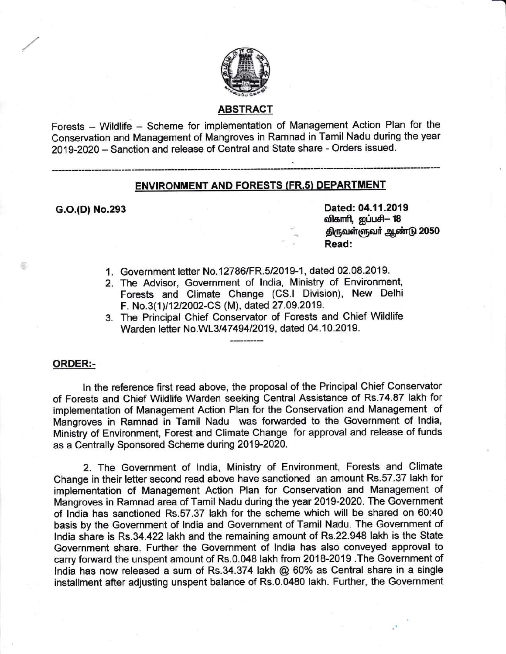

# ABSTRACT

Forests - Wildlife - Scheme for implementation of Management Action Plan for the Conservation and Management of Mangroves in Ramnad in Tamil Nadu during the year 2019-2020 - Sanction and release of Central and State share - Orders issued.

## ENVIRONMENT AND FORESTS (FR.s) DEPARTMENT

.i\_\_\_\_\_-\_\_\_\_\_\_

G.o.(D) No.293 Dated: 04.11.2019 விகாரி, ஐப்பசி– 18 திருவள்ளுவர் ஆண்டு 2050 Read:

- 1. Government letter No.12786/FR.5/2019-1, dated 02.08.2019.
- 2. The Advisor, Government of India, Ministry of Environment Forests and Climate Change (CS.l Division), New Delhi F. No.3(1)/12/2002-CS (M), dated 27.09.2019.
- The Principal Chief Conservator of Forests and Chief Wildlife 3.Warden letter No.WL3/47494/2019, dated 04.10.2019.

#### ORDER:-

喬

ln the reference first read above, the proposal of the Principal Chief Conservator of Forests and Chief Wildlife Warden seeking Central Assistance of Rs.74.87 lakh for implementation of Management Action Plan for the Conservation and Management of Mangroves in Ramnad in Tamil Nadu was forwarded to the Government of lndia, Ministry of Environment, Forest and Climate Change for approval and release of funds as a Centrally Sponsored Scheme during 2019-2020.

2. The Government of lndia, Ministry of Environment, Forests and Climate Change in their letter second read above have sanctioned an amount Rs.57.37 lakh for implementation of Management Action Plan for Conservation and Management of Mangroves in Ramnad area of Tamil Nadu during the year 2019-2020. The Government of lndia has sanctioned Rs.57.37 lakh for the scheme which will be shared on 60:40 basis by the Government of lndia and Government of Tamil Nadu. The Government of lndia share is Rs.34 .422lakh and the remaining amount of Rs.22.948 lakh is the State Government share. Further the Government of lndia has also conveyed approval to carry forward the unspent amount of Rs.0.048 lakh from 2018-2019 .The Government of lndia has now released a sum of Rs.34.374 lakh @ 60% as Central share in a single installment after adjusting unspent balance of Rs.0.0480 lakh. Further, the Government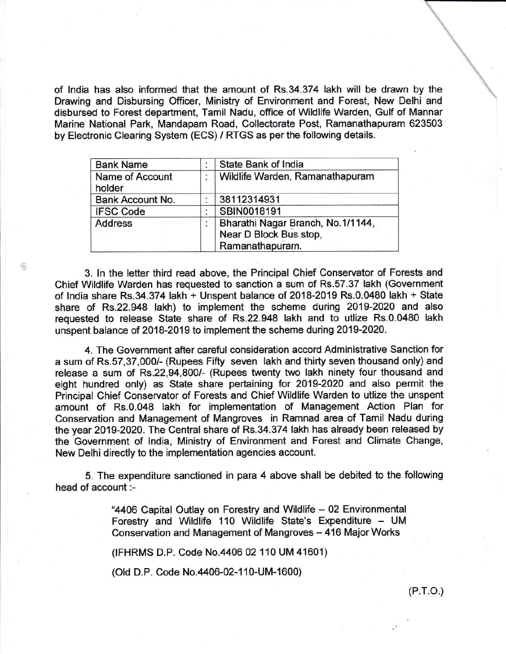of lndia has also informed that the amount of Rs.34.374 lakh will be drawn by the Drawing and Disbursing Officer, Ministry of Environment and Forest, New Delhi and disbursed to Forest department, Tamil Nadu, office of Wildlife Warden, Gulf of Mannan Marine National Park, Mandapam Road, Collectorate Post, Ramanathapuram 623503 by Electronic Clearing System (ECS) / RTGS as per the following details.

| <b>Bank Name</b>          |   | State Bank of India                                                            |
|---------------------------|---|--------------------------------------------------------------------------------|
| Name of Account<br>holder | ٠ | Wildlife Warden, Ramanathapuram                                                |
| Bank Account No.          |   | 38112314931                                                                    |
| <b>IFSC Code</b>          | ٠ | SBIN0018191                                                                    |
| <b>Address</b>            | ۰ | Bharathi Nagar Branch, No.1/1144,<br>Near D Block Bus stop,<br>Ramanathapuram. |

3. In the letter third read above, the Principal Chief Conservator of Forests and Chief Wildlife Warden has requested to sanction a sum of Rs.57.37 lakh (Government of lndia share Rs.34.374 lakh + Unspent balance of 2018-2019 Rs.0.0480 lakh + State share of Rs.22.948 lakh) to implement the scheme during 2019-2020 and also requested to release State share of Rs.22.948 lakh and to utlize Rs.0.0480 lakh unspent balance of 2018-2019 to implement the scheme during 2019-2020.

4. The Government after careful consideration accord Administrative Sanction for a sum of Rs.57,37,0001- (Rupees Fifty seven lakh and thirty seven thousand only) and release a sum of Rs.22,94,800/- (Rupees twenty two lakh ninety four thousand and eight hundred only) as State share pertaining for 2019-2020 and also permit the Principal Chief Conservator of Forests and Chief Wildlife Warden to utlize the unspent amount of Rs.0.048 lakh for implementation of Management Action Plan for Conservation and Management of Mangroves in Ramnad area of Tamil Nadu during the year 2019-2020. The Central share of Rs.34.374 lakh has already been released by the Government of lndia, Ministry of Environment and Forest and Climate Change, New Delhi directly to the implementation agencies account.

5. The expenditure sanctioned in para 4 above shall be debited to the following head of account :-

> "4406 Capital Outlay on Forestry and Wildlife - 02 Environmental Forestry and Wildlife 110 Wildlife State's Expenditure - UM Conservation and Management of Mangroves - 416 Major Works

(IFHRMS D.P. Code No.4406 02110 UM 41601)

(Old D.P. Code No.4406-02-110-UM-1600)